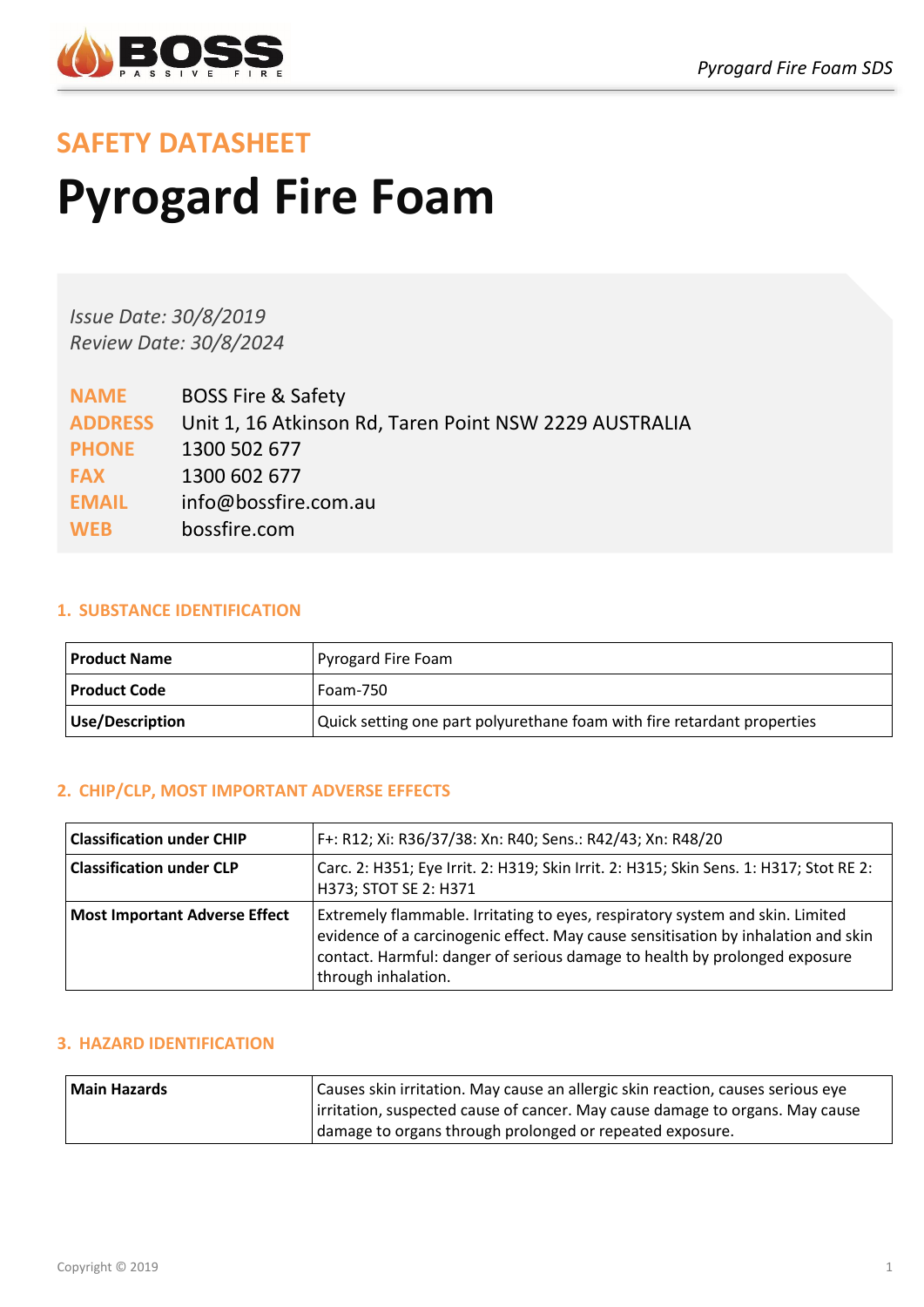

# **SAFETY DATASHEET Pyrogard Fire Foam**

*Issue Date: 30/8/2019 Review Date: 30/8/2024*

| <b>NAME</b>    | <b>BOSS Fire &amp; Safety</b>                          |
|----------------|--------------------------------------------------------|
| <b>ADDRESS</b> | Unit 1, 16 Atkinson Rd, Taren Point NSW 2229 AUSTRALIA |
| <b>PHONE</b>   | 1300 502 677                                           |
| <b>FAX</b>     | 1300 602 677                                           |
| <b>EMAIL</b>   | info@bossfire.com.au                                   |
| <b>WEB</b>     | bossfire.com                                           |

# **1. SUBSTANCE IDENTIFICATION**

| Product Name    | Pyrogard Fire Foam                                                      |
|-----------------|-------------------------------------------------------------------------|
| Product Code    | Foam-750                                                                |
| Use/Description | Quick setting one part polyurethane foam with fire retardant properties |

# **2. CHIP/CLP, MOST IMPORTANT ADVERSE EFFECTS**

| F+: R12; Xi: R36/37/38: Xn: R40; Sens.: R42/43; Xn: R48/20<br><b>Classification under CHIP</b>                                                     |                                                                                                                                                                                                                                                                         |  |  |
|----------------------------------------------------------------------------------------------------------------------------------------------------|-------------------------------------------------------------------------------------------------------------------------------------------------------------------------------------------------------------------------------------------------------------------------|--|--|
| <b>Classification under CLP</b><br>Carc. 2: H351; Eye Irrit. 2: H319; Skin Irrit. 2: H315; Skin Sens. 1: H317; Stot RE 2:<br>H373; STOT SE 2: H371 |                                                                                                                                                                                                                                                                         |  |  |
| <b>Most Important Adverse Effect</b>                                                                                                               | Extremely flammable. Irritating to eyes, respiratory system and skin. Limited<br>evidence of a carcinogenic effect. May cause sensitisation by inhalation and skin<br>contact. Harmful: danger of serious damage to health by prolonged exposure<br>through inhalation. |  |  |

# **3. HAZARD IDENTIFICATION**

| <b>Main Hazards</b>                                      | Causes skin irritation. May cause an allergic skin reaction, causes serious eye |  |  |
|----------------------------------------------------------|---------------------------------------------------------------------------------|--|--|
|                                                          | irritation, suspected cause of cancer. May cause damage to organs. May cause    |  |  |
| damage to organs through prolonged or repeated exposure. |                                                                                 |  |  |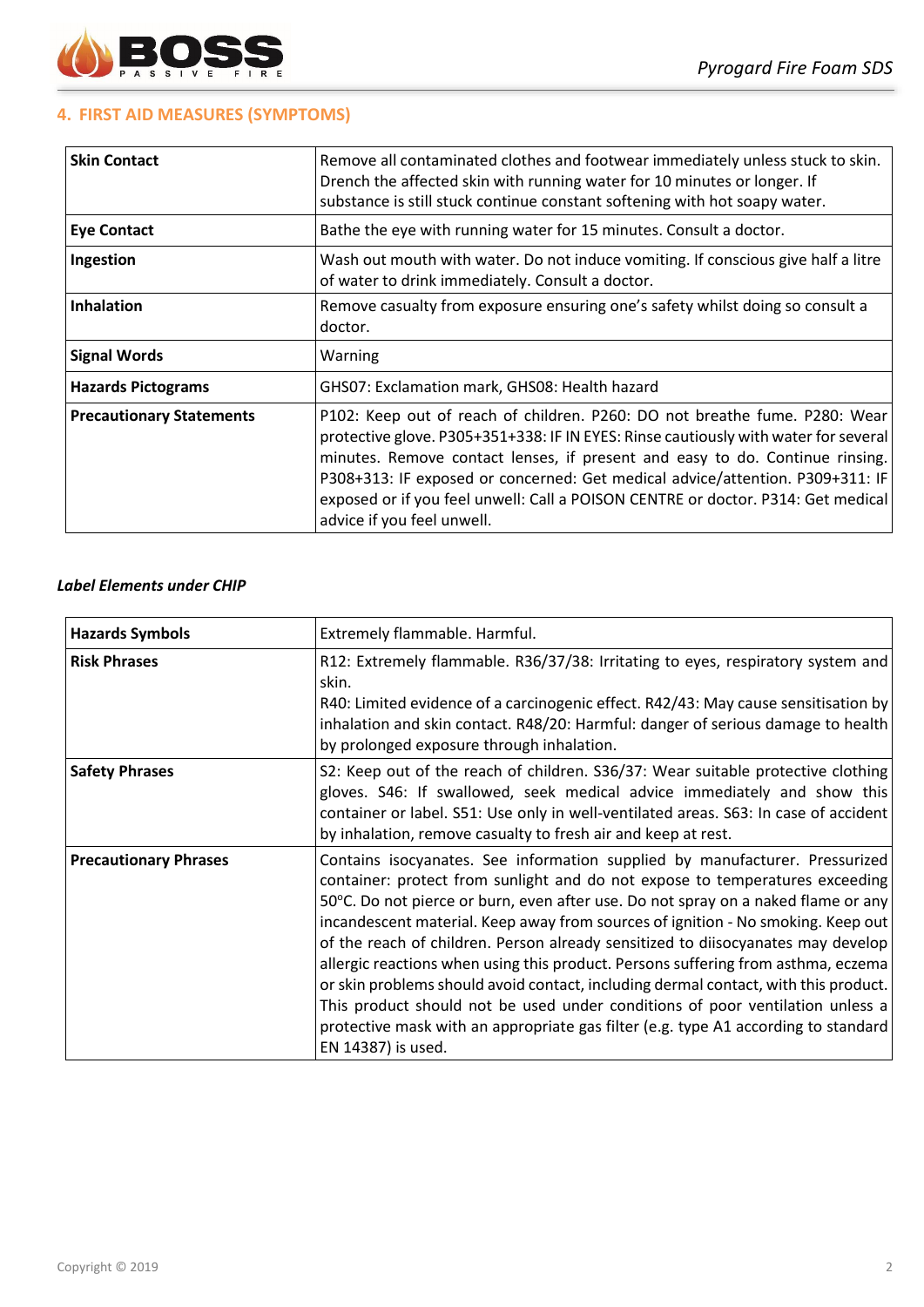

## **4. FIRST AID MEASURES (SYMPTOMS)**

| <b>Skin Contact</b>             | Remove all contaminated clothes and footwear immediately unless stuck to skin.<br>Drench the affected skin with running water for 10 minutes or longer. If<br>substance is still stuck continue constant softening with hot soapy water.                                                                                                                                                                                                             |  |  |
|---------------------------------|------------------------------------------------------------------------------------------------------------------------------------------------------------------------------------------------------------------------------------------------------------------------------------------------------------------------------------------------------------------------------------------------------------------------------------------------------|--|--|
| <b>Eye Contact</b>              | Bathe the eye with running water for 15 minutes. Consult a doctor.                                                                                                                                                                                                                                                                                                                                                                                   |  |  |
| Ingestion                       | Wash out mouth with water. Do not induce vomiting. If conscious give half a litre<br>of water to drink immediately. Consult a doctor.                                                                                                                                                                                                                                                                                                                |  |  |
| <b>Inhalation</b>               | Remove casualty from exposure ensuring one's safety whilst doing so consult a<br>doctor.                                                                                                                                                                                                                                                                                                                                                             |  |  |
| <b>Signal Words</b>             | Warning                                                                                                                                                                                                                                                                                                                                                                                                                                              |  |  |
| <b>Hazards Pictograms</b>       | GHS07: Exclamation mark, GHS08: Health hazard                                                                                                                                                                                                                                                                                                                                                                                                        |  |  |
| <b>Precautionary Statements</b> | P102: Keep out of reach of children. P260: DO not breathe fume. P280: Wear<br>protective glove. P305+351+338: IF IN EYES: Rinse cautiously with water for several<br>minutes. Remove contact lenses, if present and easy to do. Continue rinsing.<br>P308+313: IF exposed or concerned: Get medical advice/attention. P309+311: IF<br>exposed or if you feel unwell: Call a POISON CENTRE or doctor. P314: Get medical<br>advice if you feel unwell. |  |  |

#### *Label Elements under CHIP*

| <b>Hazards Symbols</b>       | Extremely flammable. Harmful.                                                                                                                                                                                                                                                                                                                                                                                                                                                                                                                                                                                                                                                                                                                                                                     |  |  |  |
|------------------------------|---------------------------------------------------------------------------------------------------------------------------------------------------------------------------------------------------------------------------------------------------------------------------------------------------------------------------------------------------------------------------------------------------------------------------------------------------------------------------------------------------------------------------------------------------------------------------------------------------------------------------------------------------------------------------------------------------------------------------------------------------------------------------------------------------|--|--|--|
| <b>Risk Phrases</b>          | R12: Extremely flammable. R36/37/38: Irritating to eyes, respiratory system and<br>skin.<br>R40: Limited evidence of a carcinogenic effect. R42/43: May cause sensitisation by<br>inhalation and skin contact. R48/20: Harmful: danger of serious damage to health<br>by prolonged exposure through inhalation.                                                                                                                                                                                                                                                                                                                                                                                                                                                                                   |  |  |  |
| <b>Safety Phrases</b>        | S2: Keep out of the reach of children. S36/37: Wear suitable protective clothing<br>gloves. S46: If swallowed, seek medical advice immediately and show this<br>container or label. S51: Use only in well-ventilated areas. S63: In case of accident<br>by inhalation, remove casualty to fresh air and keep at rest.                                                                                                                                                                                                                                                                                                                                                                                                                                                                             |  |  |  |
| <b>Precautionary Phrases</b> | Contains isocyanates. See information supplied by manufacturer. Pressurized<br>container: protect from sunlight and do not expose to temperatures exceeding<br>50°C. Do not pierce or burn, even after use. Do not spray on a naked flame or any<br>incandescent material. Keep away from sources of ignition - No smoking. Keep out<br>of the reach of children. Person already sensitized to diisocyanates may develop<br>allergic reactions when using this product. Persons suffering from asthma, eczema<br>or skin problems should avoid contact, including dermal contact, with this product.<br>This product should not be used under conditions of poor ventilation unless a<br>protective mask with an appropriate gas filter (e.g. type A1 according to standard<br>EN 14387) is used. |  |  |  |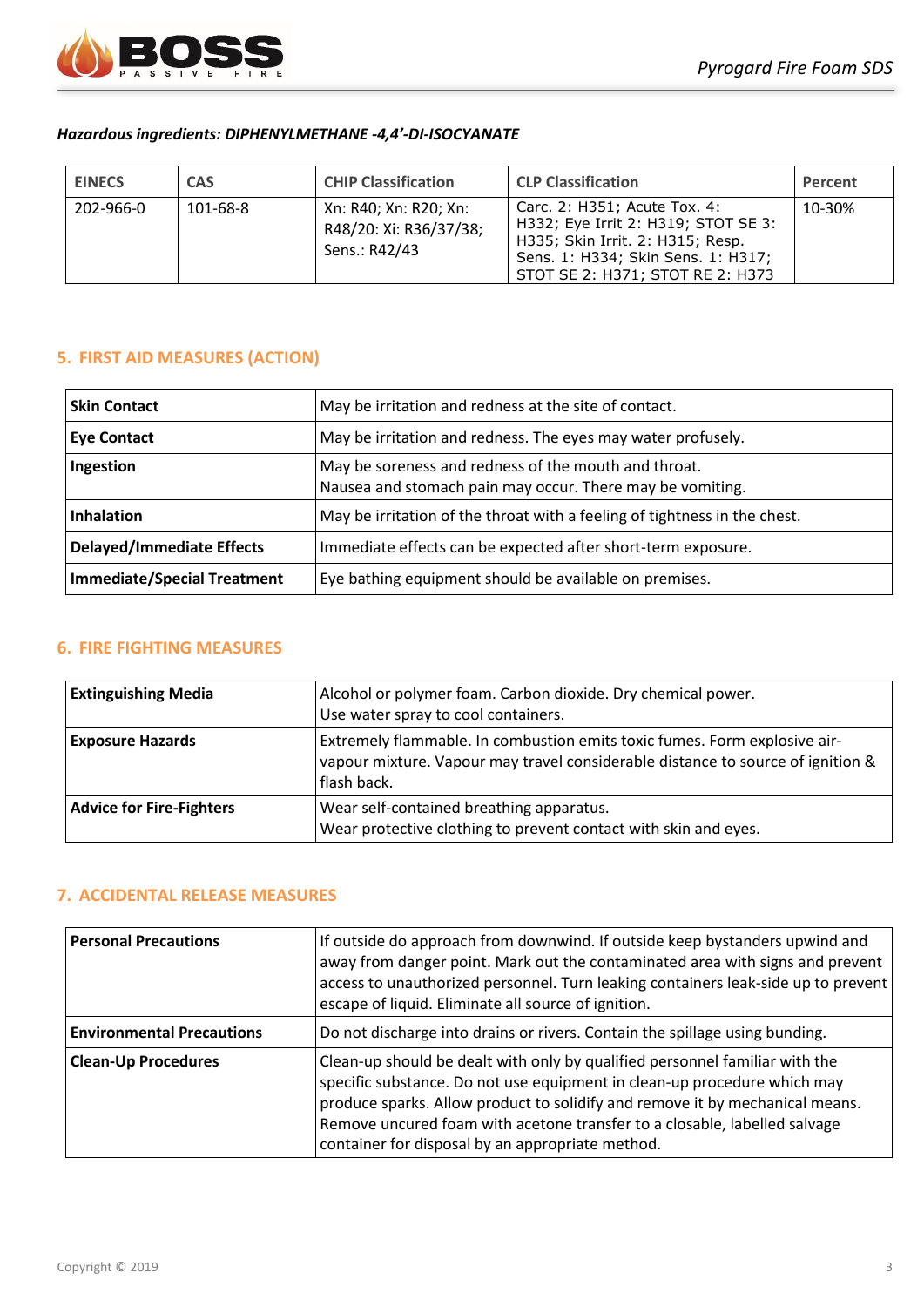

### *Hazardous ingredients: DIPHENYLMETHANE -4,4'-DI-ISOCYANATE*

| <b>EINECS</b> | <b>CAS</b> | <b>CHIP Classification</b>                                       | <b>CLP Classification</b>                                                                                                                                                         | Percent |
|---------------|------------|------------------------------------------------------------------|-----------------------------------------------------------------------------------------------------------------------------------------------------------------------------------|---------|
| 202-966-0     | 101-68-8   | Xn: R40; Xn: R20; Xn:<br>R48/20: Xi: R36/37/38;<br>Sens.: R42/43 | Carc. 2: H351; Acute Tox. 4:<br>H332; Eye Irrit 2: H319; STOT SE 3:<br>H335; Skin Irrit. 2: H315; Resp.<br>Sens. 1: H334; Skin Sens. 1: H317;<br>STOT SE 2: H371; STOT RE 2: H373 | 10-30%  |

## **5. FIRST AID MEASURES (ACTION)**

| May be irritation and redness at the site of contact.<br><b>Skin Contact</b>                                                   |                                                        |
|--------------------------------------------------------------------------------------------------------------------------------|--------------------------------------------------------|
| May be irritation and redness. The eyes may water profusely.<br><b>Eye Contact</b>                                             |                                                        |
| May be soreness and redness of the mouth and throat.<br>Ingestion<br>Nausea and stomach pain may occur. There may be vomiting. |                                                        |
| Inhalation<br>May be irritation of the throat with a feeling of tightness in the chest.                                        |                                                        |
| <b>Delayed/Immediate Effects</b><br>Immediate effects can be expected after short-term exposure.                               |                                                        |
| Immediate/Special Treatment                                                                                                    | Eye bathing equipment should be available on premises. |

## **6. FIRE FIGHTING MEASURES**

| <b>Extinguishing Media</b>      | Alcohol or polymer foam. Carbon dioxide. Dry chemical power.<br>Use water spray to cool containers.                                                                         |  |
|---------------------------------|-----------------------------------------------------------------------------------------------------------------------------------------------------------------------------|--|
| <b>Exposure Hazards</b>         | Extremely flammable. In combustion emits toxic fumes. Form explosive air-<br>vapour mixture. Vapour may travel considerable distance to source of ignition &<br>flash back. |  |
| <b>Advice for Fire-Fighters</b> | Wear self-contained breathing apparatus.<br>Wear protective clothing to prevent contact with skin and eyes.                                                                 |  |

# **7. ACCIDENTAL RELEASE MEASURES**

| <b>Personal Precautions</b>      | If outside do approach from downwind. If outside keep bystanders upwind and<br>away from danger point. Mark out the contaminated area with signs and prevent<br>access to unauthorized personnel. Turn leaking containers leak-side up to prevent<br>escape of liquid. Eliminate all source of ignition.                                                                 |
|----------------------------------|--------------------------------------------------------------------------------------------------------------------------------------------------------------------------------------------------------------------------------------------------------------------------------------------------------------------------------------------------------------------------|
| <b>Environmental Precautions</b> | Do not discharge into drains or rivers. Contain the spillage using bunding.                                                                                                                                                                                                                                                                                              |
| <b>Clean-Up Procedures</b>       | Clean-up should be dealt with only by qualified personnel familiar with the<br>specific substance. Do not use equipment in clean-up procedure which may<br>produce sparks. Allow product to solidify and remove it by mechanical means.<br>Remove uncured foam with acetone transfer to a closable, labelled salvage<br>container for disposal by an appropriate method. |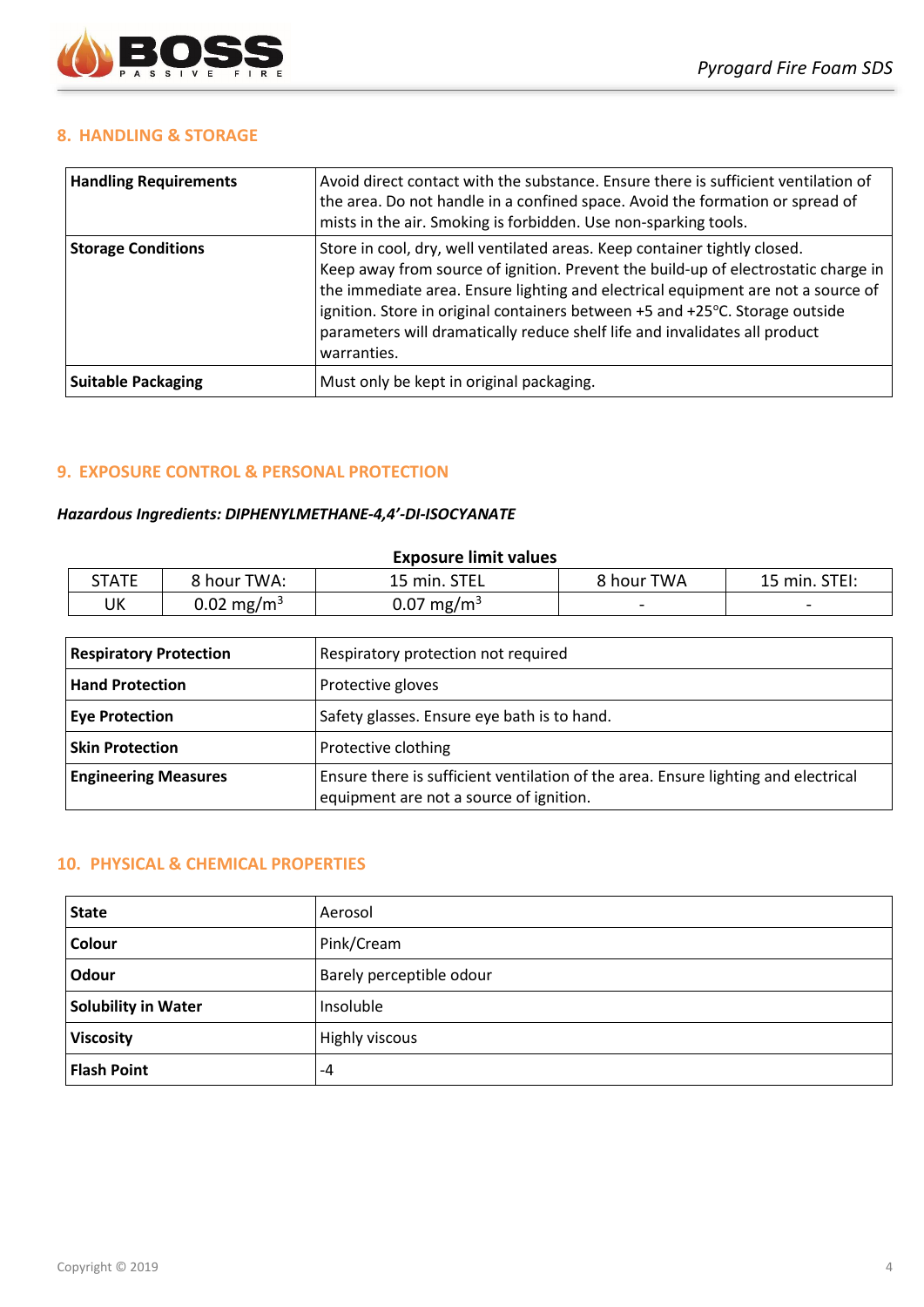

#### **8. HANDLING & STORAGE**

| <b>Handling Requirements</b> | Avoid direct contact with the substance. Ensure there is sufficient ventilation of<br>the area. Do not handle in a confined space. Avoid the formation or spread of<br>mists in the air. Smoking is forbidden. Use non-sparking tools.                                                                                                                                                                                           |  |
|------------------------------|----------------------------------------------------------------------------------------------------------------------------------------------------------------------------------------------------------------------------------------------------------------------------------------------------------------------------------------------------------------------------------------------------------------------------------|--|
| <b>Storage Conditions</b>    | Store in cool, dry, well ventilated areas. Keep container tightly closed.<br>Keep away from source of ignition. Prevent the build-up of electrostatic charge in<br>the immediate area. Ensure lighting and electrical equipment are not a source of<br>ignition. Store in original containers between +5 and +25°C. Storage outside<br>parameters will dramatically reduce shelf life and invalidates all product<br>warranties. |  |
| <b>Suitable Packaging</b>    | Must only be kept in original packaging.                                                                                                                                                                                                                                                                                                                                                                                         |  |

## **9. EXPOSURE CONTROL & PERSONAL PROTECTION**

#### *Hazardous Ingredients: DIPHENYLMETHANE-4,4'-DI-ISOCYANATE*

| <b>Exposure limit values</b> |                        |                        |            |                 |  |  |
|------------------------------|------------------------|------------------------|------------|-----------------|--|--|
| STATE                        | 8 hour TWA:            | 15 min. STEL           | 8 hour TWA | 15 min. STEI:   |  |  |
| UK                           | 0.02 mg/m <sup>3</sup> | 0.07 mg/m <sup>3</sup> |            | $\qquad \qquad$ |  |  |

| <b>Respiratory Protection</b> | Respiratory protection not required                                                                                           |
|-------------------------------|-------------------------------------------------------------------------------------------------------------------------------|
| <b>Hand Protection</b>        | Protective gloves                                                                                                             |
| <b>Eye Protection</b>         | Safety glasses. Ensure eye bath is to hand.                                                                                   |
| <b>Skin Protection</b>        | Protective clothing                                                                                                           |
| <b>Engineering Measures</b>   | Ensure there is sufficient ventilation of the area. Ensure lighting and electrical<br>equipment are not a source of ignition. |

### **10. PHYSICAL & CHEMICAL PROPERTIES**

| <b>State</b>               | Aerosol                  |
|----------------------------|--------------------------|
| Colour                     | Pink/Cream               |
| <b>Odour</b>               | Barely perceptible odour |
| <b>Solubility in Water</b> | Insoluble                |
| <b>Viscosity</b>           | <b>Highly viscous</b>    |
| <b>Flash Point</b>         | -4                       |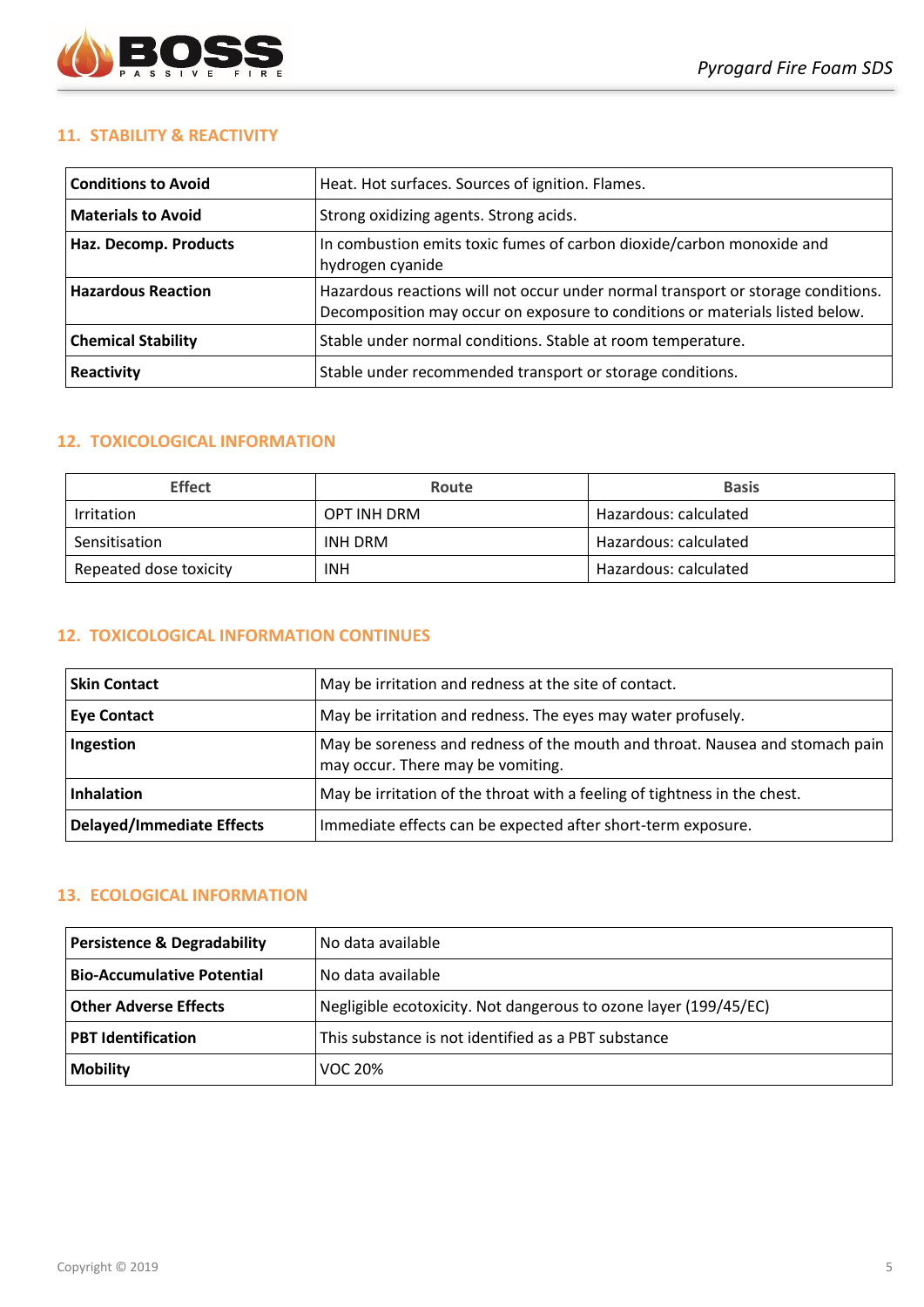

## **11. STABILITY & REACTIVITY**

| <b>Conditions to Avoid</b> | Heat. Hot surfaces. Sources of ignition. Flames.                                                                                                                 |
|----------------------------|------------------------------------------------------------------------------------------------------------------------------------------------------------------|
| <b>Materials to Avoid</b>  | Strong oxidizing agents. Strong acids.                                                                                                                           |
| Haz. Decomp. Products      | In combustion emits toxic fumes of carbon dioxide/carbon monoxide and<br>hydrogen cyanide                                                                        |
| <b>Hazardous Reaction</b>  | Hazardous reactions will not occur under normal transport or storage conditions.<br>Decomposition may occur on exposure to conditions or materials listed below. |
| <b>Chemical Stability</b>  | Stable under normal conditions. Stable at room temperature.                                                                                                      |
| Reactivity                 | Stable under recommended transport or storage conditions.                                                                                                        |

## **12. TOXICOLOGICAL INFORMATION**

| <b>Effect</b>          | Route       | <b>Basis</b>          |
|------------------------|-------------|-----------------------|
| Irritation             | OPT INH DRM | Hazardous: calculated |
| Sensitisation          | INH DRM     | Hazardous: calculated |
| Repeated dose toxicity | <b>INH</b>  | Hazardous: calculated |

## **12. TOXICOLOGICAL INFORMATION CONTINUES**

| <b>Skin Contact</b>              | May be irritation and redness at the site of contact.                                                             |
|----------------------------------|-------------------------------------------------------------------------------------------------------------------|
| <b>Eye Contact</b>               | May be irritation and redness. The eyes may water profusely.                                                      |
| Ingestion                        | May be soreness and redness of the mouth and throat. Nausea and stomach pain<br>may occur. There may be vomiting. |
| <b>Inhalation</b>                | May be irritation of the throat with a feeling of tightness in the chest.                                         |
| <b>Delayed/Immediate Effects</b> | Immediate effects can be expected after short-term exposure.                                                      |

## **13. ECOLOGICAL INFORMATION**

| <b>Persistence &amp; Degradability</b> | l No data available                                              |
|----------------------------------------|------------------------------------------------------------------|
| <b>Bio-Accumulative Potential</b>      | No data available                                                |
| <b>Other Adverse Effects</b>           | Negligible ecotoxicity. Not dangerous to ozone layer (199/45/EC) |
| <b>PBT Identification</b>              | This substance is not identified as a PBT substance              |
| <b>Mobility</b>                        | VOC 20%                                                          |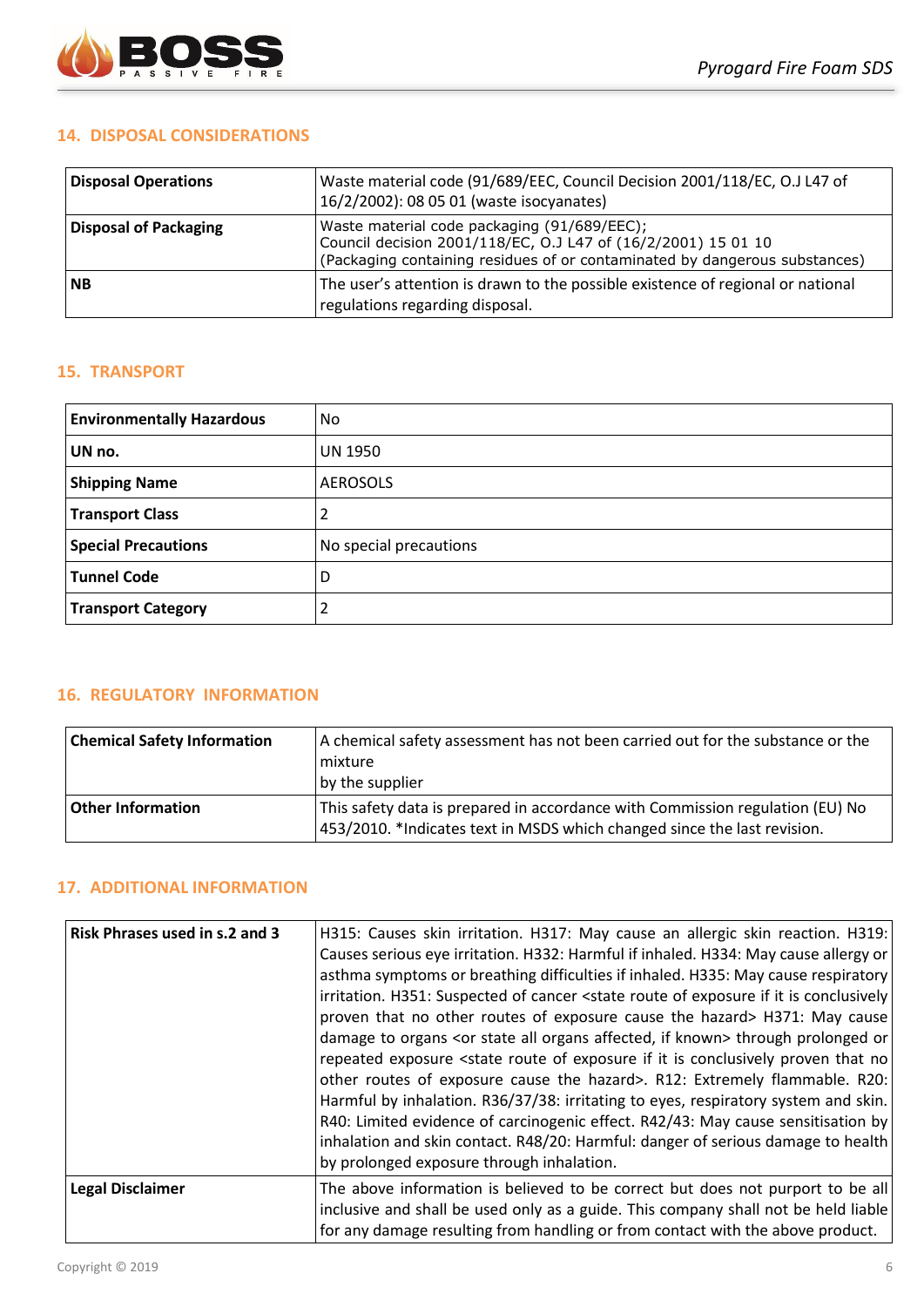

### **14. DISPOSAL CONSIDERATIONS**

| <b>Disposal Operations</b> | Waste material code (91/689/EEC, Council Decision 2001/118/EC, O.J L47 of<br>16/2/2002): 08 05 01 (waste isocyanates)                                                                      |
|----------------------------|--------------------------------------------------------------------------------------------------------------------------------------------------------------------------------------------|
| Disposal of Packaging      | Waste material code packaging (91/689/EEC);<br>Council decision 2001/118/EC, O.J L47 of (16/2/2001) 15 01 10<br>(Packaging containing residues of or contaminated by dangerous substances) |
| <b>INB</b>                 | The user's attention is drawn to the possible existence of regional or national<br>regulations regarding disposal.                                                                         |

### **15. TRANSPORT**

| <b>Environmentally Hazardous</b> | No                     |
|----------------------------------|------------------------|
| UN no.                           | <b>UN 1950</b>         |
| <b>Shipping Name</b>             | <b>AEROSOLS</b>        |
| <b>Transport Class</b>           |                        |
| <b>Special Precautions</b>       | No special precautions |
| <b>Tunnel Code</b>               | D                      |
| <b>Transport Category</b>        |                        |

## **16. REGULATORY INFORMATION**

| <b>Chemical Safety Information</b> | A chemical safety assessment has not been carried out for the substance or the<br><b>I</b> mixture<br>by the supplier                                     |
|------------------------------------|-----------------------------------------------------------------------------------------------------------------------------------------------------------|
| <b>Other Information</b>           | This safety data is prepared in accordance with Commission regulation (EU) No<br>453/2010. *Indicates text in MSDS which changed since the last revision. |

## **17. ADDITIONAL INFORMATION**

| <b>Risk Phrases used in s.2 and 3</b> | H315: Causes skin irritation. H317: May cause an allergic skin reaction. H319:<br>Causes serious eye irritation. H332: Harmful if inhaled. H334: May cause allergy or<br>asthma symptoms or breathing difficulties if inhaled. H335: May cause respiratory<br>irritation. H351: Suspected of cancer <state conclusively<br="" exposure="" if="" is="" it="" of="" route="">proven that no other routes of exposure cause the hazard&gt; H371: May cause<br/>damage to organs <or affected,="" all="" if="" known="" organs="" state=""> through prolonged or<br/>repeated exposure <state conclusively="" exposure="" if="" is="" it="" no<br="" of="" proven="" route="" that="">other routes of exposure cause the hazard&gt;. R12: Extremely flammable. R20:<br/>Harmful by inhalation. R36/37/38: irritating to eyes, respiratory system and skin.<br/>R40: Limited evidence of carcinogenic effect. R42/43: May cause sensitisation by<br/>inhalation and skin contact. R48/20: Harmful: danger of serious damage to health<br/>by prolonged exposure through inhalation.</state></or></state> |
|---------------------------------------|-----------------------------------------------------------------------------------------------------------------------------------------------------------------------------------------------------------------------------------------------------------------------------------------------------------------------------------------------------------------------------------------------------------------------------------------------------------------------------------------------------------------------------------------------------------------------------------------------------------------------------------------------------------------------------------------------------------------------------------------------------------------------------------------------------------------------------------------------------------------------------------------------------------------------------------------------------------------------------------------------------------------------------------------------------------------------------------------------------|
| <b>Legal Disclaimer</b>               | The above information is believed to be correct but does not purport to be all<br>inclusive and shall be used only as a guide. This company shall not be held liable<br>for any damage resulting from handling or from contact with the above product.                                                                                                                                                                                                                                                                                                                                                                                                                                                                                                                                                                                                                                                                                                                                                                                                                                              |